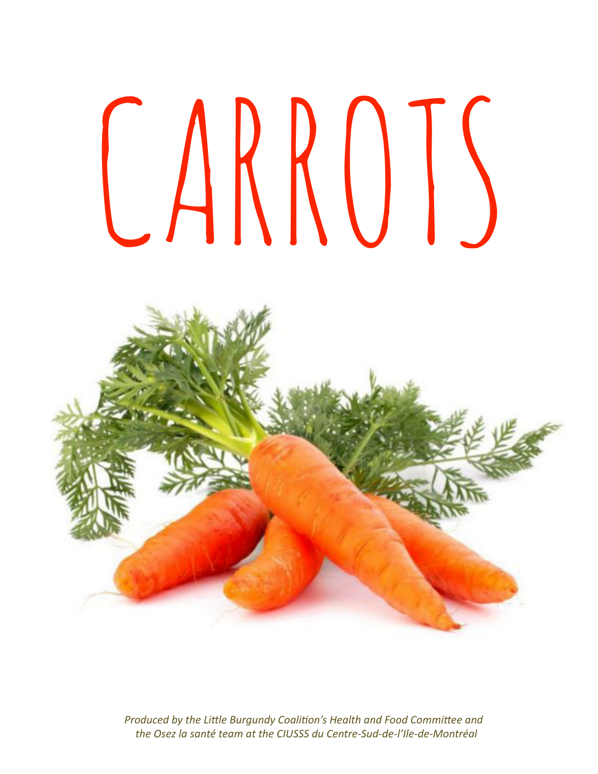# CARROTS



*Produced by the Little Burgundy Coalition's Health and Food Committee and the Osez la santé team at the CIUSSS du Centre-Sud-de-l'Ile-de-Montréal*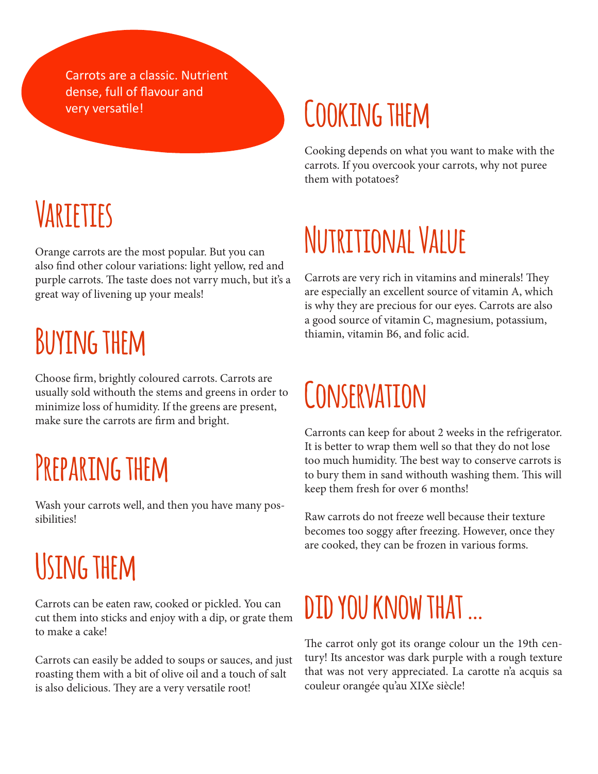Carrots are a classic. Nutrient dense, full of flavour and

#### **Varieties**

Orange carrots are the most popular. But you can also find other colour variations: light yellow, red and purple carrots. The taste does not varry much, but it's a great way of livening up your meals!

#### **Buying them**

Choose firm, brightly coloured carrots. Carrots are usually sold withouth the stems and greens in order to minimize loss of humidity. If the greens are present, make sure the carrots are firm and bright.

#### **Preparing them**

Wash your carrots well, and then you have many possibilities!

#### **Using them**

Carrots can be eaten raw, cooked or pickled. You can cut them into sticks and enjoy with a dip, or grate them to make a cake!

Carrots can easily be added to soups or sauces, and just roasting them with a bit of olive oil and a touch of salt is also delicious. They are a very versatile root!

#### very versatile! **COOKING THEM**

Cooking depends on what you want to make with the carrots. If you overcook your carrots, why not puree them with potatoes?

#### **Nutritional Value**

Carrots are very rich in vitamins and minerals! They are especially an excellent source of vitamin A, which is why they are precious for our eyes. Carrots are also a good source of vitamin C, magnesium, potassium, thiamin, vitamin B6, and folic acid.

#### **Conservation**

Carronts can keep for about 2 weeks in the refrigerator. It is better to wrap them well so that they do not lose too much humidity. The best way to conserve carrots is to bury them in sand withouth washing them. This will keep them fresh for over 6 months!

Raw carrots do not freeze well because their texture becomes too soggy after freezing. However, once they are cooked, they can be frozen in various forms.

#### **did you know that …**

The carrot only got its orange colour un the 19th century! Its ancestor was dark purple with a rough texture that was not very appreciated. La carotte n'a acquis sa couleur orangée qu'au XIXe siècle!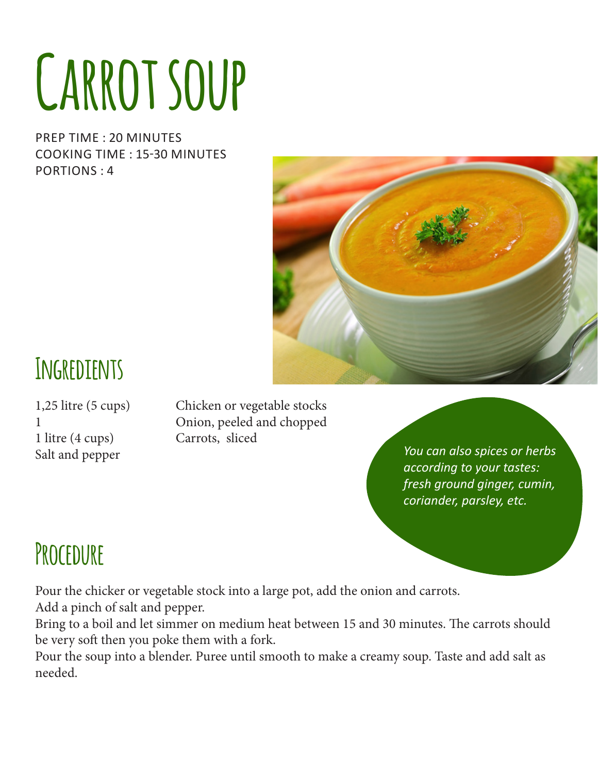## **Carrot soup**

PREP TIME : 20 MINUTES COOKING TIME : 15-30 MINUTES PORTIONS : 4



#### **Ingredients**

1 litre (4 cups) Carrots, sliced Salt and pepper

1,25 litre (5 cups) Chicken or vegetable stocks 1 Onion, peeled and chopped

*You can also spices or herbs according to your tastes: fresh ground ginger, cumin, coriander, parsley, etc.* 

#### **Procedure**

Pour the chicker or vegetable stock into a large pot, add the onion and carrots.

Add a pinch of salt and pepper.

Bring to a boil and let simmer on medium heat between 15 and 30 minutes. The carrots should be very soft then you poke them with a fork.

Pour the soup into a blender. Puree until smooth to make a creamy soup. Taste and add salt as needed.